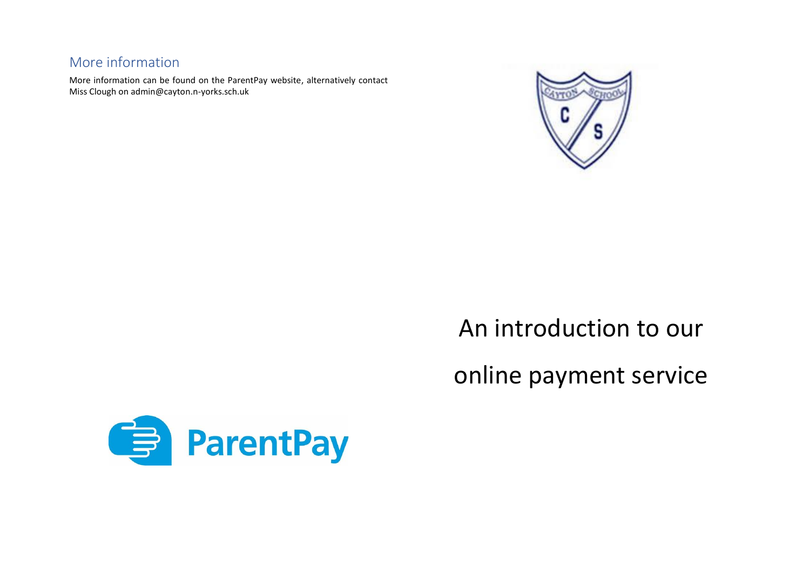### More information

More information can be found on the ParentPay website, alternatively contact Miss Clough on admin@cayton.n-yorks.sch.uk



# An introduction to our online payment service